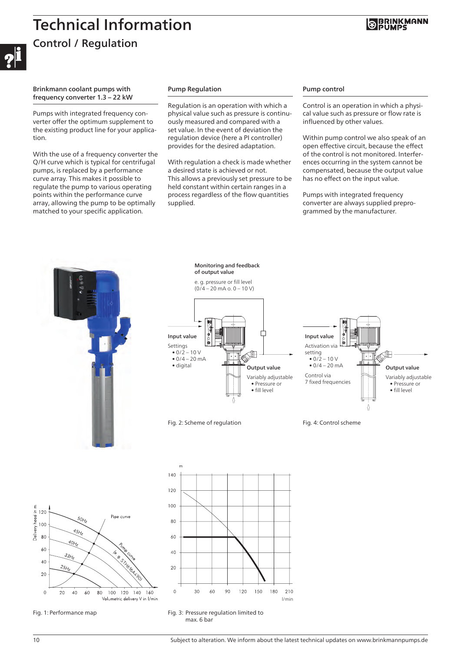## Technical Information

### Control / Regulation



#### Brinkmann coolant pumps with frequency converter 1.3 – 22 kW

Pumps with integrated frequency converter offer the optimum supplement to the existing product line for your application.

With the use of a frequency converter the Q/H curve which is typical for centrifugal pumps, is replaced by a performance curve array. This makes it possible to regulate the pump to various operating points within the performance curve array, allowing the pump to be optimally matched to your specific application.

#### Pump Regulation

Regulation is an operation with which a physical value such as pressure is continuously measured and compared with a set value. In the event of deviation the regulation device (here a PI controller) provides for the desired adaptation.

With regulation a check is made whether a desired state is achieved or not. This allows a previously set pressure to be held constant within certain ranges in a process regardless of the flow quantities supplied.

#### Pump control

Control is an operation in which a physical value such as pressure or flow rate is influenced by other values.

Within pump control we also speak of an open effective circuit, because the effect of the control is not monitored. Interferences occurring in the system cannot be compensated, because the output value has no effect on the input value.

Pumps with integrated frequency converter are always supplied preprogrammed by the manufacturer.





Monitoring and feedback

Fig. 2: Scheme of regulation



Fig. 4: Control scheme



Fig. 1: Performance map



Fig. 3: Pressure regulation limited to max. 6 bar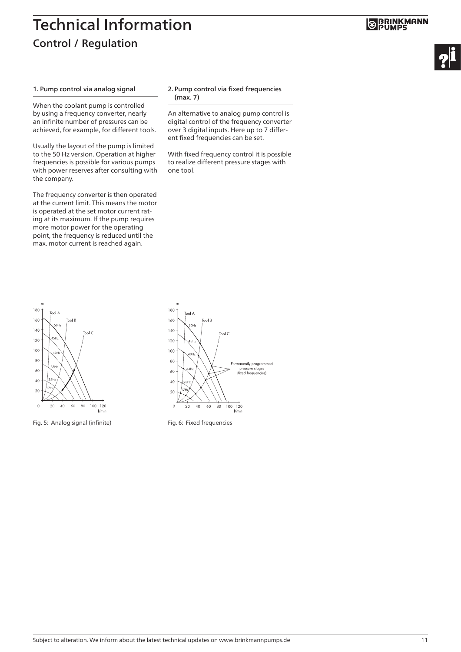### Technical Information Control / Regulation



#### 1. Pump control via analog signal

When the coolant pump is controlled by using a frequency converter, nearly an infinite number of pressures can be achieved, for example, for different tools.

Usually the layout of the pump is limited to the 50 Hz version. Operation at higher frequencies is possible for various pumps with power reserves after consulting with the company.

The frequency converter is then operated at the current limit. This means the motor is operated at the set motor current rating at its maximum. If the pump requires more motor power for the operating point, the frequency is reduced until the max. motor current is reached again.

#### 2. Pump control via fixed frequencies (max. 7)

An alternative to analog pump control is digital control of the frequency converter over 3 digital inputs. Here up to 7 different fixed frequencies can be set.

With fixed frequency control it is possible to realize different pressure stages with one tool.



Fig. 5: Analog signal (infinite)



Fig. 6: Fixed frequencies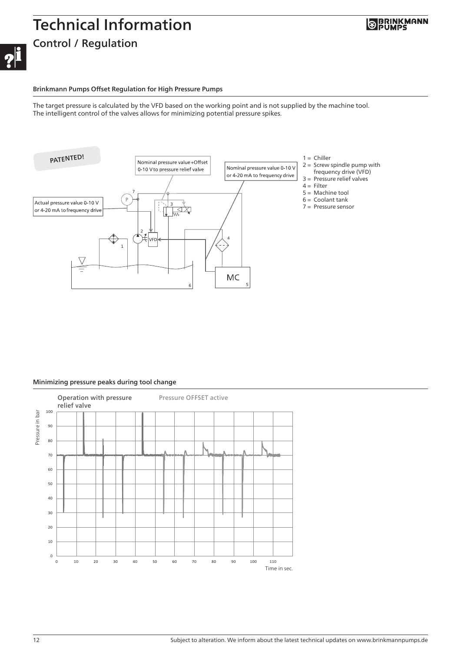# Technical Information



Control / Regulation

#### Brinkmann Pumps Offset Regulation for High Pressure Pumps

The target pressure is calculated by the VFD based on the working point and is not supplied by the machine tool. The intelligent control of the valves allows for minimizing potential pressure spikes.



#### Minimizing pressure peaks during tool change